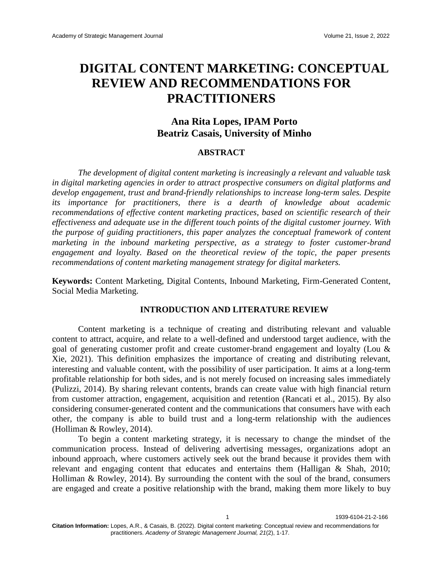# **DIGITAL CONTENT MARKETING: CONCEPTUAL REVIEW AND RECOMMENDATIONS FOR PRACTITIONERS**

# **Ana Rita Lopes, IPAM Porto Beatriz Casais, University of Minho**

#### **ABSTRACT**

*The development of digital content marketing is increasingly a relevant and valuable task in digital marketing agencies in order to attract prospective consumers on digital platforms and develop engagement, trust and brand-friendly relationships to increase long-term sales. Despite its importance for practitioners, there is a dearth of knowledge about academic recommendations of effective content marketing practices, based on scientific research of their effectiveness and adequate use in the different touch points of the digital customer journey. With the purpose of guiding practitioners, this paper analyzes the conceptual framework of content marketing in the inbound marketing perspective, as a strategy to foster customer-brand engagement and loyalty. Based on the theoretical review of the topic, the paper presents recommendations of content marketing management strategy for digital marketers.*

**Keywords:** Content Marketing, Digital Contents, Inbound Marketing, Firm-Generated Content, Social Media Marketing.

# **INTRODUCTION AND LITERATURE REVIEW**

Content marketing is a technique of creating and distributing relevant and valuable content to attract, acquire, and relate to a well-defined and understood target audience, with the goal of generating customer profit and create customer-brand engagement and loyalty (Lou & Xie, 2021). This definition emphasizes the importance of creating and distributing relevant, interesting and valuable content, with the possibility of user participation. It aims at a long-term profitable relationship for both sides, and is not merely focused on increasing sales immediately (Pulizzi, 2014). By sharing relevant contents, brands can create value with high financial return from customer attraction, engagement, acquisition and retention (Rancati et al., 2015). By also considering consumer-generated content and the communications that consumers have with each other, the company is able to build trust and a long-term relationship with the audiences (Holliman & Rowley, 2014).

To begin a content marketing strategy, it is necessary to change the mindset of the communication process. Instead of delivering advertising messages, organizations adopt an inbound approach, where customers actively seek out the brand because it provides them with relevant and engaging content that educates and entertains them (Halligan & Shah, 2010; Holliman & Rowley, 2014). By surrounding the content with the soul of the brand, consumers are engaged and create a positive relationship with the brand, making them more likely to buy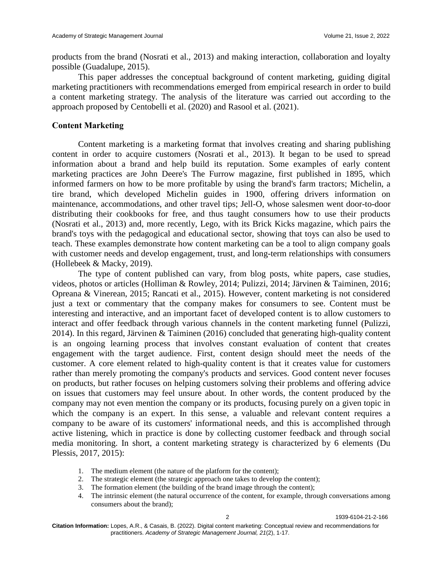products from the brand (Nosrati et al., 2013) and making interaction, collaboration and loyalty possible (Guadalupe, 2015).

This paper addresses the conceptual background of content marketing, guiding digital marketing practitioners with recommendations emerged from empirical research in order to build a content marketing strategy. The analysis of the literature was carried out according to the approach proposed by Centobelli et al. (2020) and Rasool et al. (2021).

## **Content Marketing**

Content marketing is a marketing format that involves creating and sharing publishing content in order to acquire customers (Nosrati et al., 2013). It began to be used to spread information about a brand and help build its reputation. Some examples of early content marketing practices are John Deere's The Furrow magazine, first published in 1895, which informed farmers on how to be more profitable by using the brand's farm tractors; Michelin, a tire brand, which developed Michelin guides in 1900, offering drivers information on maintenance, accommodations, and other travel tips; Jell-O, whose salesmen went door-to-door distributing their cookbooks for free, and thus taught consumers how to use their products (Nosrati et al., 2013) and, more recently, Lego, with its Brick Kicks magazine, which pairs the brand's toys with the pedagogical and educational sector, showing that toys can also be used to teach. These examples demonstrate how content marketing can be a tool to align company goals with customer needs and develop engagement, trust, and long-term relationships with consumers (Hollebeek & Macky, 2019).

The type of content published can vary, from blog posts, white papers, case studies, videos, photos or articles (Holliman & Rowley, 2014; Pulizzi, 2014; Järvinen & Taiminen, 2016; Opreana & Vinerean, 2015; Rancati et al., 2015). However, content marketing is not considered just a text or commentary that the company makes for consumers to see. Content must be interesting and interactive, and an important facet of developed content is to allow customers to interact and offer feedback through various channels in the content marketing funnel (Pulizzi, 2014). In this regard, Järvinen & Taiminen (2016) concluded that generating high-quality content is an ongoing learning process that involves constant evaluation of content that creates engagement with the target audience. First, content design should meet the needs of the customer. A core element related to high-quality content is that it creates value for customers rather than merely promoting the company's products and services. Good content never focuses on products, but rather focuses on helping customers solving their problems and offering advice on issues that customers may feel unsure about. In other words, the content produced by the company may not even mention the company or its products, focusing purely on a given topic in which the company is an expert. In this sense, a valuable and relevant content requires a company to be aware of its customers' informational needs, and this is accomplished through active listening, which in practice is done by collecting customer feedback and through social media monitoring. In short, a content marketing strategy is characterized by 6 elements (Du Plessis, 2017, 2015):

- 1. The medium element (the nature of the platform for the content);
- 2. The strategic element (the strategic approach one takes to develop the content);
- 3. The formation element (the building of the brand image through the content);
- 4. The intrinsic element (the natural occurrence of the content, for example, through conversations among consumers about the brand);

2 1939-6104-21-2-166

**Citation Information:** Lopes, A.R., & Casais, B. (2022). Digital content marketing: Conceptual review and recommendations for practitioners. *Academy of Strategic Management Journal, 21*(2), 1-17.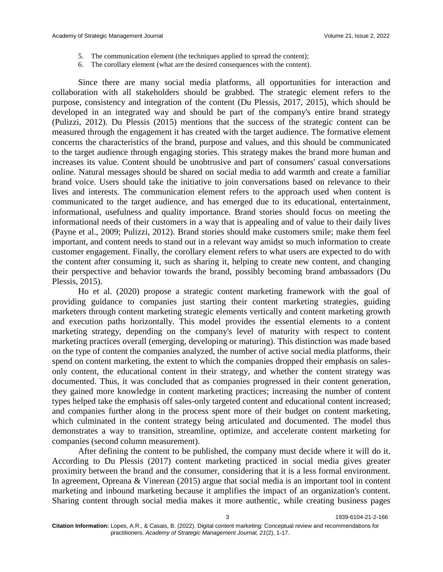- 5. The communication element (the techniques applied to spread the content);
- 6. The corollary element (what are the desired consequences with the content).

Since there are many social media platforms, all opportunities for interaction and collaboration with all stakeholders should be grabbed. The strategic element refers to the purpose, consistency and integration of the content (Du Plessis, 2017, 2015), which should be developed in an integrated way and should be part of the company's entire brand strategy (Pulizzi, 2012). Du Plessis (2015) mentions that the success of the strategic content can be measured through the engagement it has created with the target audience. The formative element concerns the characteristics of the brand, purpose and values, and this should be communicated to the target audience through engaging stories. This strategy makes the brand more human and increases its value. Content should be unobtrusive and part of consumers' casual conversations online. Natural messages should be shared on social media to add warmth and create a familiar brand voice. Users should take the initiative to join conversations based on relevance to their lives and interests. The communication element refers to the approach used when content is communicated to the target audience, and has emerged due to its educational, entertainment, informational, usefulness and quality importance. Brand stories should focus on meeting the informational needs of their customers in a way that is appealing and of value to their daily lives (Payne et al., 2009; Pulizzi, 2012). Brand stories should make customers smile; make them feel important, and content needs to stand out in a relevant way amidst so much information to create customer engagement. Finally, the corollary element refers to what users are expected to do with the content after consuming it, such as sharing it, helping to create new content, and changing their perspective and behavior towards the brand, possibly becoming brand ambassadors (Du Plessis, 2015).

Ho et al. (2020) propose a strategic content marketing framework with the goal of providing guidance to companies just starting their content marketing strategies, guiding marketers through content marketing strategic elements vertically and content marketing growth and execution paths horizontally. This model provides the essential elements to a content marketing strategy, depending on the company's level of maturity with respect to content marketing practices overall (emerging, developing or maturing). This distinction was made based on the type of content the companies analyzed, the number of active social media platforms, their spend on content marketing, the extent to which the companies dropped their emphasis on salesonly content, the educational content in their strategy, and whether the content strategy was documented. Thus, it was concluded that as companies progressed in their content generation, they gained more knowledge in content marketing practices; increasing the number of content types helped take the emphasis off sales-only targeted content and educational content increased; and companies further along in the process spent more of their budget on content marketing, which culminated in the content strategy being articulated and documented. The model thus demonstrates a way to transition, streamline, optimize, and accelerate content marketing for companies (second column measurement).

After defining the content to be published, the company must decide where it will do it. According to Du Plessis (2017) content marketing practiced in social media gives greater proximity between the brand and the consumer, considering that it is a less formal environment. In agreement, Opreana & Vinerean (2015) argue that social media is an important tool in content marketing and inbound marketing because it amplifies the impact of an organization's content. Sharing content through social media makes it more authentic, while creating business pages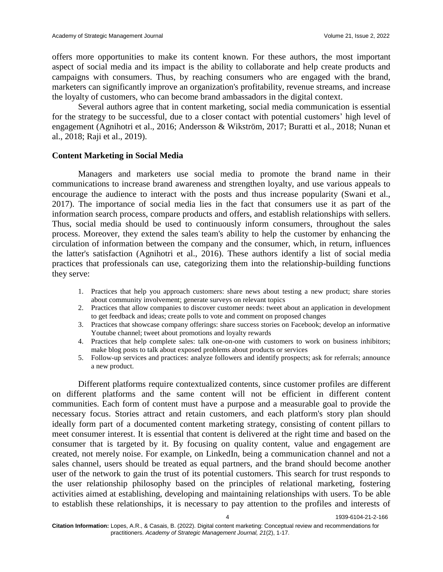offers more opportunities to make its content known. For these authors, the most important aspect of social media and its impact is the ability to collaborate and help create products and campaigns with consumers. Thus, by reaching consumers who are engaged with the brand, marketers can significantly improve an organization's profitability, revenue streams, and increase the loyalty of customers, who can become brand ambassadors in the digital context.

Several authors agree that in content marketing, social media communication is essential for the strategy to be successful, due to a closer contact with potential customers' high level of engagement (Agnihotri et al., 2016; Andersson & Wikström, 2017; Buratti et al., 2018; Nunan et al., 2018; Raji et al., 2019).

#### **Content Marketing in Social Media**

Managers and marketers use social media to promote the brand name in their communications to increase brand awareness and strengthen loyalty, and use various appeals to encourage the audience to interact with the posts and thus increase popularity (Swani et al., 2017). The importance of social media lies in the fact that consumers use it as part of the information search process, compare products and offers, and establish relationships with sellers. Thus, social media should be used to continuously inform consumers, throughout the sales process. Moreover, they extend the sales team's ability to help the customer by enhancing the circulation of information between the company and the consumer, which, in return, influences the latter's satisfaction (Agnihotri et al., 2016). These authors identify a list of social media practices that professionals can use, categorizing them into the relationship-building functions they serve:

- 1. Practices that help you approach customers: share news about testing a new product; share stories about community involvement; generate surveys on relevant topics
- 2. Practices that allow companies to discover customer needs: tweet about an application in development to get feedback and ideas; create polls to vote and comment on proposed changes
- 3. Practices that showcase company offerings: share success stories on Facebook; develop an informative Youtube channel; tweet about promotions and loyalty rewards
- 4. Practices that help complete sales: talk one-on-one with customers to work on business inhibitors; make blog posts to talk about exposed problems about products or services
- 5. Follow-up services and practices: analyze followers and identify prospects; ask for referrals; announce a new product.

Different platforms require contextualized contents, since customer profiles are different on different platforms and the same content will not be efficient in different content communities. Each form of content must have a purpose and a measurable goal to provide the necessary focus. Stories attract and retain customers, and each platform's story plan should ideally form part of a documented content marketing strategy, consisting of content pillars to meet consumer interest. It is essential that content is delivered at the right time and based on the consumer that is targeted by it. By focusing on quality content, value and engagement are created, not merely noise. For example, on LinkedIn, being a communication channel and not a sales channel, users should be treated as equal partners, and the brand should become another user of the network to gain the trust of its potential customers. This search for trust responds to the user relationship philosophy based on the principles of relational marketing, fostering activities aimed at establishing, developing and maintaining relationships with users. To be able to establish these relationships, it is necessary to pay attention to the profiles and interests of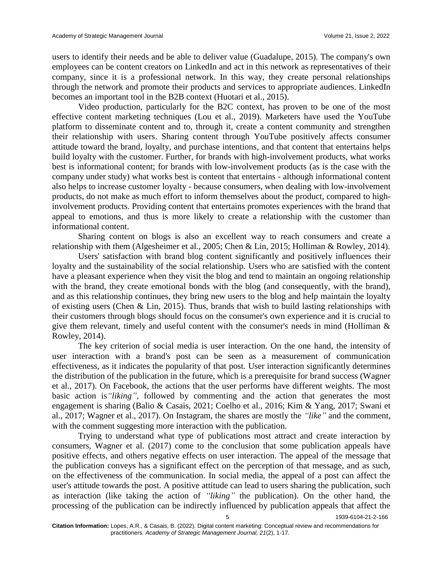users to identify their needs and be able to deliver value (Guadalupe, 2015). The company's own employees can be content creators on LinkedIn and act in this network as representatives of their company, since it is a professional network. In this way, they create personal relationships through the network and promote their products and services to appropriate audiences. LinkedIn becomes an important tool in the B2B context (Huotari et al., 2015).

Video production, particularly for the B2C context, has proven to be one of the most effective content marketing techniques (Lou et al., 2019). Marketers have used the YouTube platform to disseminate content and to, through it, create a content community and strengthen their relationship with users. Sharing content through YouTube positively affects consumer attitude toward the brand, loyalty, and purchase intentions, and that content that entertains helps build loyalty with the customer. Further, for brands with high-involvement products, what works best is informational content; for brands with low-involvement products (as is the case with the company under study) what works best is content that entertains - although informational content also helps to increase customer loyalty - because consumers, when dealing with low-involvement products, do not make as much effort to inform themselves about the product, compared to highinvolvement products. Providing content that entertains promotes experiences with the brand that appeal to emotions, and thus is more likely to create a relationship with the customer than informational content.

Sharing content on blogs is also an excellent way to reach consumers and create a relationship with them (Algesheimer et al., 2005; Chen & Lin, 2015; Holliman & Rowley, 2014).

Users' satisfaction with brand blog content significantly and positively influences their loyalty and the sustainability of the social relationship. Users who are satisfied with the content have a pleasant experience when they visit the blog and tend to maintain an ongoing relationship with the brand, they create emotional bonds with the blog (and consequently, with the brand), and as this relationship continues, they bring new users to the blog and help maintain the loyalty of existing users (Chen & Lin, 2015). Thus, brands that wish to build lasting relationships with their customers through blogs should focus on the consumer's own experience and it is crucial to give them relevant, timely and useful content with the consumer's needs in mind (Holliman  $\&$ Rowley, 2014).

The key criterion of social media is user interaction. On the one hand, the intensity of user interaction with a brand's post can be seen as a measurement of communication effectiveness, as it indicates the popularity of that post. User interaction significantly determines the distribution of the publication in the future, which is a prerequisite for brand success (Wagner et al., 2017). On Facebook, the actions that the user performs have different weights. The most basic action is*"liking"*, followed by commenting and the action that generates the most engagement is sharing (Balio & Casais, 2021; Coelho et al., 2016; Kim & Yang, 2017; Swani et al., 2017; Wagner et al., 2017). On Instagram, the shares are mostly the *"like"* and the comment, with the comment suggesting more interaction with the publication.

Trying to understand what type of publications most attract and create interaction by consumers, Wagner et al. (2017) come to the conclusion that some publication appeals have positive effects, and others negative effects on user interaction. The appeal of the message that the publication conveys has a significant effect on the perception of that message, and as such, on the effectiveness of the communication. In social media, the appeal of a post can affect the user's attitude towards the post. A positive attitude can lead to users sharing the publication, such as interaction (like taking the action of *"liking"* the publication). On the other hand, the processing of the publication can be indirectly influenced by publication appeals that affect the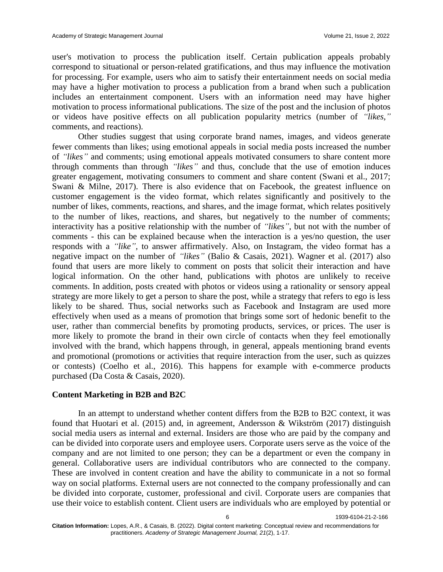6 1939-6104-21-2-166

user's motivation to process the publication itself. Certain publication appeals probably correspond to situational or person-related gratifications, and thus may influence the motivation for processing. For example, users who aim to satisfy their entertainment needs on social media may have a higher motivation to process a publication from a brand when such a publication includes an entertainment component. Users with an information need may have higher motivation to process informational publications. The size of the post and the inclusion of photos or videos have positive effects on all publication popularity metrics (number of *"likes,"* comments, and reactions).

Other studies suggest that using corporate brand names, images, and videos generate fewer comments than likes; using emotional appeals in social media posts increased the number of *"likes"* and comments; using emotional appeals motivated consumers to share content more through comments than through *"likes"* and thus, conclude that the use of emotion induces greater engagement, motivating consumers to comment and share content (Swani et al., 2017; Swani & Milne, 2017). There is also evidence that on Facebook, the greatest influence on customer engagement is the video format, which relates significantly and positively to the number of likes, comments, reactions, and shares, and the image format, which relates positively to the number of likes, reactions, and shares, but negatively to the number of comments; interactivity has a positive relationship with the number of *"likes",* but not with the number of comments - this can be explained because when the interaction is a yes/no question, the user responds with a *"like",* to answer affirmatively. Also, on Instagram, the video format has a negative impact on the number of *"likes"* (Balio & Casais, 2021). Wagner et al. (2017) also found that users are more likely to comment on posts that solicit their interaction and have logical information. On the other hand, publications with photos are unlikely to receive comments. In addition, posts created with photos or videos using a rationality or sensory appeal strategy are more likely to get a person to share the post, while a strategy that refers to ego is less likely to be shared. Thus, social networks such as Facebook and Instagram are used more effectively when used as a means of promotion that brings some sort of hedonic benefit to the user, rather than commercial benefits by promoting products, services, or prices. The user is more likely to promote the brand in their own circle of contacts when they feel emotionally involved with the brand, which happens through, in general, appeals mentioning brand events and promotional (promotions or activities that require interaction from the user, such as quizzes or contests) (Coelho et al., 2016). This happens for example with e-commerce products purchased (Da Costa & Casais, 2020).

#### **Content Marketing in B2B and B2C**

In an attempt to understand whether content differs from the B2B to B2C context, it was found that Huotari et al. (2015) and, in agreement, Andersson & Wikström (2017) distinguish social media users as internal and external. Insiders are those who are paid by the company and can be divided into corporate users and employee users. Corporate users serve as the voice of the company and are not limited to one person; they can be a department or even the company in general. Collaborative users are individual contributors who are connected to the company. These are involved in content creation and have the ability to communicate in a not so formal way on social platforms. External users are not connected to the company professionally and can be divided into corporate, customer, professional and civil. Corporate users are companies that use their voice to establish content. Client users are individuals who are employed by potential or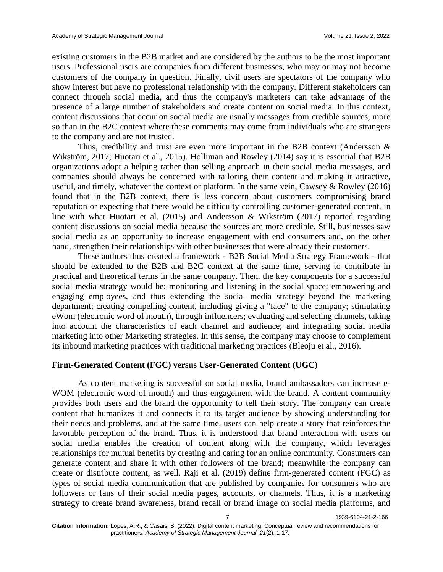existing customers in the B2B market and are considered by the authors to be the most important users. Professional users are companies from different businesses, who may or may not become customers of the company in question. Finally, civil users are spectators of the company who show interest but have no professional relationship with the company. Different stakeholders can connect through social media, and thus the company's marketers can take advantage of the presence of a large number of stakeholders and create content on social media. In this context, content discussions that occur on social media are usually messages from credible sources, more so than in the B2C context where these comments may come from individuals who are strangers to the company and are not trusted.

Thus, credibility and trust are even more important in the B2B context (Andersson  $\&$ Wikström, 2017; Huotari et al., 2015). Holliman and Rowley (2014) say it is essential that B2B organizations adopt a helping rather than selling approach in their social media messages, and companies should always be concerned with tailoring their content and making it attractive, useful, and timely, whatever the context or platform. In the same vein, Cawsey & Rowley (2016) found that in the B2B context, there is less concern about customers compromising brand reputation or expecting that there would be difficulty controlling customer-generated content, in line with what Huotari et al. (2015) and Andersson & Wikström (2017) reported regarding content discussions on social media because the sources are more credible. Still, businesses saw social media as an opportunity to increase engagement with end consumers and, on the other hand, strengthen their relationships with other businesses that were already their customers.

These authors thus created a framework - B2B Social Media Strategy Framework - that should be extended to the B2B and B2C context at the same time, serving to contribute in practical and theoretical terms in the same company. Then, the key components for a successful social media strategy would be: monitoring and listening in the social space; empowering and engaging employees, and thus extending the social media strategy beyond the marketing department; creating compelling content, including giving a "face" to the company; stimulating eWom (electronic word of mouth), through influencers; evaluating and selecting channels, taking into account the characteristics of each channel and audience; and integrating social media marketing into other Marketing strategies. In this sense, the company may choose to complement its inbound marketing practices with traditional marketing practices (Bleoju et al., 2016).

#### **Firm-Generated Content (FGC) versus User-Generated Content (UGC)**

As content marketing is successful on social media, brand ambassadors can increase e-WOM (electronic word of mouth) and thus engagement with the brand. A content community provides both users and the brand the opportunity to tell their story. The company can create content that humanizes it and connects it to its target audience by showing understanding for their needs and problems, and at the same time, users can help create a story that reinforces the favorable perception of the brand. Thus, it is understood that brand interaction with users on social media enables the creation of content along with the company, which leverages relationships for mutual benefits by creating and caring for an online community. Consumers can generate content and share it with other followers of the brand; meanwhile the company can create or distribute content, as well. Raji et al. (2019) define firm-generated content (FGC) as types of social media communication that are published by companies for consumers who are followers or fans of their social media pages, accounts, or channels. Thus, it is a marketing strategy to create brand awareness, brand recall or brand image on social media platforms, and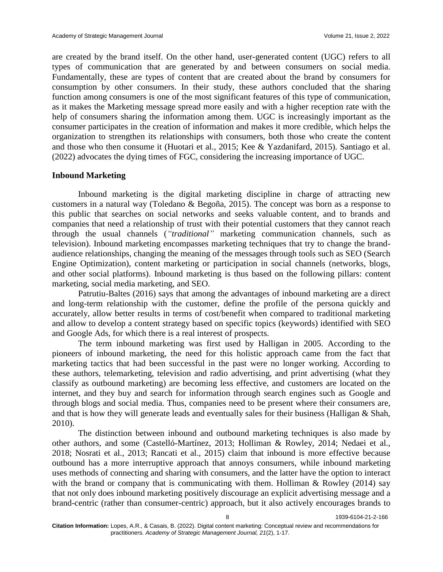are created by the brand itself. On the other hand, user-generated content (UGC) refers to all types of communication that are generated by and between consumers on social media. Fundamentally, these are types of content that are created about the brand by consumers for consumption by other consumers. In their study, these authors concluded that the sharing function among consumers is one of the most significant features of this type of communication, as it makes the Marketing message spread more easily and with a higher reception rate with the help of consumers sharing the information among them. UGC is increasingly important as the consumer participates in the creation of information and makes it more credible, which helps the organization to strengthen its relationships with consumers, both those who create the content and those who then consume it (Huotari et al., 2015; Kee & Yazdanifard, 2015). Santiago et al. (2022) advocates the dying times of FGC, considering the increasing importance of UGC.

#### **Inbound Marketing**

Inbound marketing is the digital marketing discipline in charge of attracting new customers in a natural way (Toledano & Begoña, 2015). The concept was born as a response to this public that searches on social networks and seeks valuable content, and to brands and companies that need a relationship of trust with their potential customers that they cannot reach through the usual channels (*"traditional"* marketing communication channels, such as television). Inbound marketing encompasses marketing techniques that try to change the brandaudience relationships, changing the meaning of the messages through tools such as SEO (Search Engine Optimization), content marketing or participation in social channels (networks, blogs, and other social platforms). Inbound marketing is thus based on the following pillars: content marketing, social media marketing, and SEO.

Patrutiu-Baltes (2016) says that among the advantages of inbound marketing are a direct and long-term relationship with the customer, define the profile of the persona quickly and accurately, allow better results in terms of cost/benefit when compared to traditional marketing and allow to develop a content strategy based on specific topics (keywords) identified with SEO and Google Ads, for which there is a real interest of prospects.

The term inbound marketing was first used by Halligan in 2005. According to the pioneers of inbound marketing, the need for this holistic approach came from the fact that marketing tactics that had been successful in the past were no longer working. According to these authors, telemarketing, television and radio advertising, and print advertising (what they classify as outbound marketing) are becoming less effective, and customers are located on the internet, and they buy and search for information through search engines such as Google and through blogs and social media. Thus, companies need to be present where their consumers are, and that is how they will generate leads and eventually sales for their business (Halligan & Shah, 2010).

The distinction between inbound and outbound marketing techniques is also made by other authors, and some (Castelló-Martínez, 2013; Holliman & Rowley, 2014; Nedaei et al., 2018; Nosrati et al., 2013; Rancati et al., 2015) claim that inbound is more effective because outbound has a more interruptive approach that annoys consumers, while inbound marketing uses methods of connecting and sharing with consumers, and the latter have the option to interact with the brand or company that is communicating with them. Holliman  $& Rowley (2014)$  say that not only does inbound marketing positively discourage an explicit advertising message and a brand-centric (rather than consumer-centric) approach, but it also actively encourages brands to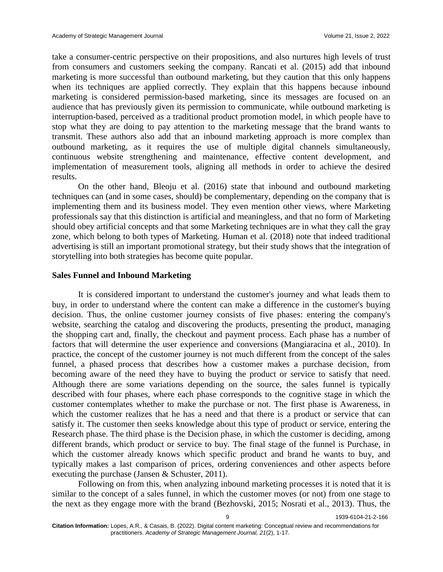take a consumer-centric perspective on their propositions, and also nurtures high levels of trust from consumers and customers seeking the company. Rancati et al. (2015) add that inbound marketing is more successful than outbound marketing, but they caution that this only happens when its techniques are applied correctly. They explain that this happens because inbound marketing is considered permission-based marketing, since its messages are focused on an audience that has previously given its permission to communicate, while outbound marketing is interruption-based, perceived as a traditional product promotion model, in which people have to stop what they are doing to pay attention to the marketing message that the brand wants to transmit. These authors also add that an inbound marketing approach is more complex than outbound marketing, as it requires the use of multiple digital channels simultaneously, continuous website strengthening and maintenance, effective content development, and implementation of measurement tools, aligning all methods in order to achieve the desired results.

On the other hand, Bleoju et al. (2016) state that inbound and outbound marketing techniques can (and in some cases, should) be complementary, depending on the company that is implementing them and its business model. They even mention other views, where Marketing professionals say that this distinction is artificial and meaningless, and that no form of Marketing should obey artificial concepts and that some Marketing techniques are in what they call the gray zone, which belong to both types of Marketing. Human et al. (2018) note that indeed traditional advertising is still an important promotional strategy, but their study shows that the integration of storytelling into both strategies has become quite popular.

#### **Sales Funnel and Inbound Marketing**

It is considered important to understand the customer's journey and what leads them to buy, in order to understand where the content can make a difference in the customer's buying decision. Thus, the online customer journey consists of five phases: entering the company's website, searching the catalog and discovering the products, presenting the product, managing the shopping cart and, finally, the checkout and payment process. Each phase has a number of factors that will determine the user experience and conversions (Mangiaracina et al., 2010). In practice, the concept of the customer journey is not much different from the concept of the sales funnel, a phased process that describes how a customer makes a purchase decision, from becoming aware of the need they have to buying the product or service to satisfy that need. Although there are some variations depending on the source, the sales funnel is typically described with four phases, where each phase corresponds to the cognitive stage in which the customer contemplates whether to make the purchase or not. The first phase is Awareness, in which the customer realizes that he has a need and that there is a product or service that can satisfy it. The customer then seeks knowledge about this type of product or service, entering the Research phase. The third phase is the Decision phase, in which the customer is deciding, among different brands, which product or service to buy. The final stage of the funnel is Purchase, in which the customer already knows which specific product and brand he wants to buy, and typically makes a last comparison of prices, ordering conveniences and other aspects before executing the purchase (Jansen & Schuster, 2011).

Following on from this, when analyzing inbound marketing processes it is noted that it is similar to the concept of a sales funnel, in which the customer moves (or not) from one stage to the next as they engage more with the brand (Bezhovski, 2015; Nosrati et al., 2013). Thus, the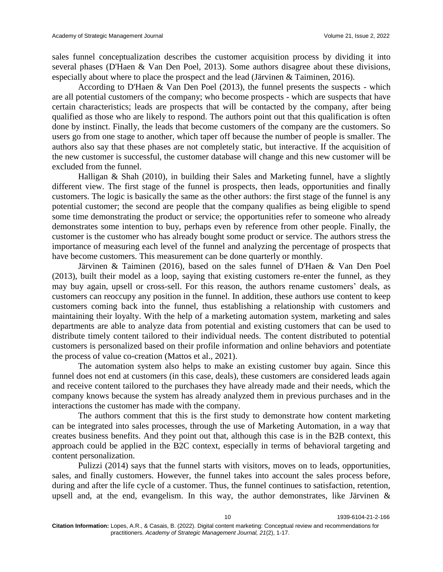sales funnel conceptualization describes the customer acquisition process by dividing it into several phases (D'Haen & Van Den Poel, 2013). Some authors disagree about these divisions, especially about where to place the prospect and the lead (Järvinen & Taiminen, 2016).

According to D'Haen & Van Den Poel (2013), the funnel presents the suspects - which are all potential customers of the company; who become prospects - which are suspects that have certain characteristics; leads are prospects that will be contacted by the company, after being qualified as those who are likely to respond. The authors point out that this qualification is often done by instinct. Finally, the leads that become customers of the company are the customers. So users go from one stage to another, which taper off because the number of people is smaller. The authors also say that these phases are not completely static, but interactive. If the acquisition of the new customer is successful, the customer database will change and this new customer will be excluded from the funnel.

Halligan & Shah (2010), in building their Sales and Marketing funnel, have a slightly different view. The first stage of the funnel is prospects, then leads, opportunities and finally customers. The logic is basically the same as the other authors: the first stage of the funnel is any potential customer; the second are people that the company qualifies as being eligible to spend some time demonstrating the product or service; the opportunities refer to someone who already demonstrates some intention to buy, perhaps even by reference from other people. Finally, the customer is the customer who has already bought some product or service. The authors stress the importance of measuring each level of the funnel and analyzing the percentage of prospects that have become customers. This measurement can be done quarterly or monthly.

Järvinen & Taiminen (2016), based on the sales funnel of D'Haen & Van Den Poel (2013), built their model as a loop, saying that existing customers re-enter the funnel, as they may buy again, upsell or cross-sell. For this reason, the authors rename customers' deals, as customers can reoccupy any position in the funnel. In addition, these authors use content to keep customers coming back into the funnel, thus establishing a relationship with customers and maintaining their loyalty. With the help of a marketing automation system, marketing and sales departments are able to analyze data from potential and existing customers that can be used to distribute timely content tailored to their individual needs. The content distributed to potential customers is personalized based on their profile information and online behaviors and potentiate the process of value co-creation (Mattos et al., 2021).

The automation system also helps to make an existing customer buy again. Since this funnel does not end at customers (in this case, deals), these customers are considered leads again and receive content tailored to the purchases they have already made and their needs, which the company knows because the system has already analyzed them in previous purchases and in the interactions the customer has made with the company.

The authors comment that this is the first study to demonstrate how content marketing can be integrated into sales processes, through the use of Marketing Automation, in a way that creates business benefits. And they point out that, although this case is in the B2B context, this approach could be applied in the B2C context, especially in terms of behavioral targeting and content personalization.

Pulizzi (2014) says that the funnel starts with visitors, moves on to leads, opportunities, sales, and finally customers. However, the funnel takes into account the sales process before, during and after the life cycle of a customer. Thus, the funnel continues to satisfaction, retention, upsell and, at the end, evangelism. In this way, the author demonstrates, like Järvinen &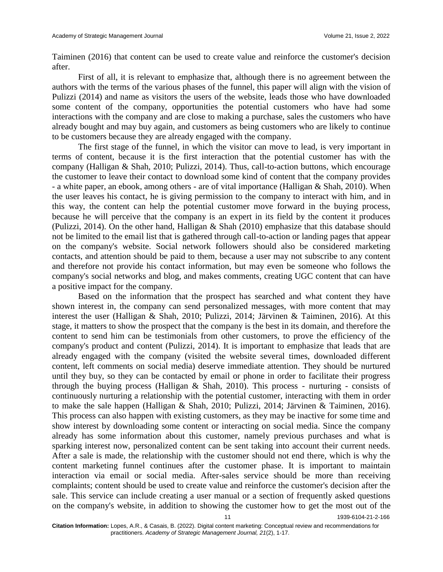Taiminen (2016) that content can be used to create value and reinforce the customer's decision after.

First of all, it is relevant to emphasize that, although there is no agreement between the authors with the terms of the various phases of the funnel, this paper will align with the vision of Pulizzi (2014) and name as visitors the users of the website, leads those who have downloaded some content of the company, opportunities the potential customers who have had some interactions with the company and are close to making a purchase, sales the customers who have already bought and may buy again, and customers as being customers who are likely to continue to be customers because they are already engaged with the company.

The first stage of the funnel, in which the visitor can move to lead, is very important in terms of content, because it is the first interaction that the potential customer has with the company (Halligan & Shah, 2010; Pulizzi, 2014). Thus, call-to-action buttons, which encourage the customer to leave their contact to download some kind of content that the company provides - a white paper, an ebook, among others - are of vital importance (Halligan & Shah, 2010). When the user leaves his contact, he is giving permission to the company to interact with him, and in this way, the content can help the potential customer move forward in the buying process, because he will perceive that the company is an expert in its field by the content it produces (Pulizzi, 2014). On the other hand, Halligan & Shah (2010) emphasize that this database should not be limited to the email list that is gathered through call-to-action or landing pages that appear on the company's website. Social network followers should also be considered marketing contacts, and attention should be paid to them, because a user may not subscribe to any content and therefore not provide his contact information, but may even be someone who follows the company's social networks and blog, and makes comments, creating UGC content that can have a positive impact for the company.

Based on the information that the prospect has searched and what content they have shown interest in, the company can send personalized messages, with more content that may interest the user (Halligan & Shah, 2010; Pulizzi, 2014; Järvinen & Taiminen, 2016). At this stage, it matters to show the prospect that the company is the best in its domain, and therefore the content to send him can be testimonials from other customers, to prove the efficiency of the company's product and content (Pulizzi, 2014). It is important to emphasize that leads that are already engaged with the company (visited the website several times, downloaded different content, left comments on social media) deserve immediate attention. They should be nurtured until they buy, so they can be contacted by email or phone in order to facilitate their progress through the buying process (Halligan  $\&$  Shah, 2010). This process - nurturing - consists of continuously nurturing a relationship with the potential customer, interacting with them in order to make the sale happen (Halligan & Shah, 2010; Pulizzi, 2014; Järvinen & Taiminen, 2016). This process can also happen with existing customers, as they may be inactive for some time and show interest by downloading some content or interacting on social media. Since the company already has some information about this customer, namely previous purchases and what is sparking interest now, personalized content can be sent taking into account their current needs. After a sale is made, the relationship with the customer should not end there, which is why the content marketing funnel continues after the customer phase. It is important to maintain interaction via email or social media. After-sales service should be more than receiving complaints; content should be used to create value and reinforce the customer's decision after the sale. This service can include creating a user manual or a section of frequently asked questions on the company's website, in addition to showing the customer how to get the most out of the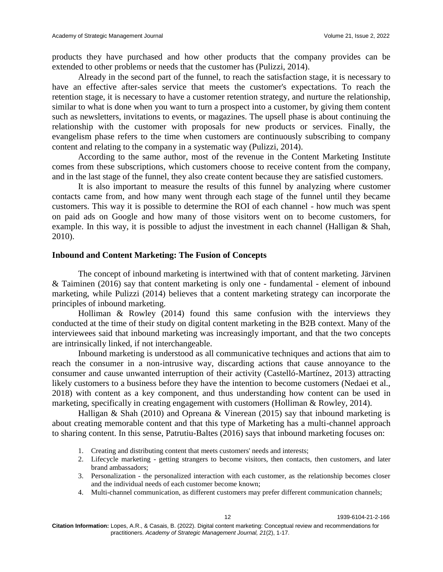products they have purchased and how other products that the company provides can be extended to other problems or needs that the customer has (Pulizzi, 2014).

Already in the second part of the funnel, to reach the satisfaction stage, it is necessary to have an effective after-sales service that meets the customer's expectations. To reach the retention stage, it is necessary to have a customer retention strategy, and nurture the relationship, similar to what is done when you want to turn a prospect into a customer, by giving them content such as newsletters, invitations to events, or magazines. The upsell phase is about continuing the relationship with the customer with proposals for new products or services. Finally, the evangelism phase refers to the time when customers are continuously subscribing to company content and relating to the company in a systematic way (Pulizzi, 2014).

According to the same author, most of the revenue in the Content Marketing Institute comes from these subscriptions, which customers choose to receive content from the company, and in the last stage of the funnel, they also create content because they are satisfied customers.

It is also important to measure the results of this funnel by analyzing where customer contacts came from, and how many went through each stage of the funnel until they became customers. This way it is possible to determine the ROI of each channel - how much was spent on paid ads on Google and how many of those visitors went on to become customers, for example. In this way, it is possible to adjust the investment in each channel (Halligan & Shah, 2010).

#### **Inbound and Content Marketing: The Fusion of Concepts**

The concept of inbound marketing is intertwined with that of content marketing. Järvinen & Taiminen (2016) say that content marketing is only one - fundamental - element of inbound marketing, while Pulizzi (2014) believes that a content marketing strategy can incorporate the principles of inbound marketing.

Holliman & Rowley (2014) found this same confusion with the interviews they conducted at the time of their study on digital content marketing in the B2B context. Many of the interviewees said that inbound marketing was increasingly important, and that the two concepts are intrinsically linked, if not interchangeable.

Inbound marketing is understood as all communicative techniques and actions that aim to reach the consumer in a non-intrusive way, discarding actions that cause annoyance to the consumer and cause unwanted interruption of their activity (Castelló-Martínez, 2013) attracting likely customers to a business before they have the intention to become customers (Nedaei et al., 2018) with content as a key component, and thus understanding how content can be used in marketing, specifically in creating engagement with customers (Holliman & Rowley, 2014).

Halligan & Shah (2010) and Opreana & Vinerean (2015) say that inbound marketing is about creating memorable content and that this type of Marketing has a multi-channel approach to sharing content. In this sense, Patrutiu-Baltes (2016) says that inbound marketing focuses on:

- 1. Creating and distributing content that meets customers' needs and interests;
- 2. Lifecycle marketing getting strangers to become visitors, then contacts, then customers, and later brand ambassadors;
- 3. Personalization the personalized interaction with each customer, as the relationship becomes closer and the individual needs of each customer become known;
- 4. Multi-channel communication, as different customers may prefer different communication channels;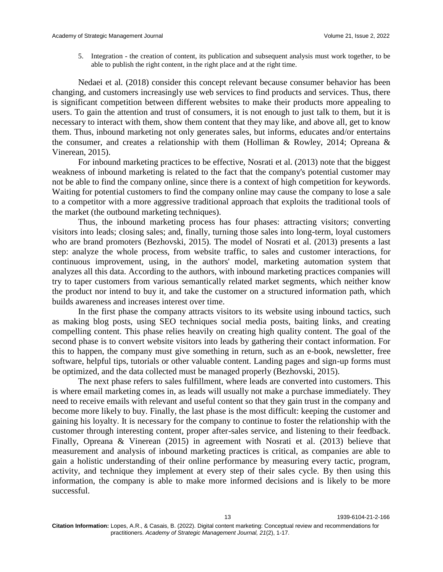5. Integration - the creation of content, its publication and subsequent analysis must work together, to be able to publish the right content, in the right place and at the right time.

Nedaei et al. (2018) consider this concept relevant because consumer behavior has been changing, and customers increasingly use web services to find products and services. Thus, there is significant competition between different websites to make their products more appealing to users. To gain the attention and trust of consumers, it is not enough to just talk to them, but it is necessary to interact with them, show them content that they may like, and above all, get to know them. Thus, inbound marketing not only generates sales, but informs, educates and/or entertains the consumer, and creates a relationship with them (Holliman & Rowley, 2014; Opreana & Vinerean, 2015).

For inbound marketing practices to be effective, Nosrati et al. (2013) note that the biggest weakness of inbound marketing is related to the fact that the company's potential customer may not be able to find the company online, since there is a context of high competition for keywords. Waiting for potential customers to find the company online may cause the company to lose a sale to a competitor with a more aggressive traditional approach that exploits the traditional tools of the market (the outbound marketing techniques).

Thus, the inbound marketing process has four phases: attracting visitors; converting visitors into leads; closing sales; and, finally, turning those sales into long-term, loyal customers who are brand promoters (Bezhovski, 2015). The model of Nosrati et al. (2013) presents a last step: analyze the whole process, from website traffic, to sales and customer interactions, for continuous improvement, using, in the authors' model, marketing automation system that analyzes all this data. According to the authors, with inbound marketing practices companies will try to taper customers from various semantically related market segments, which neither know the product nor intend to buy it, and take the customer on a structured information path, which builds awareness and increases interest over time.

In the first phase the company attracts visitors to its website using inbound tactics, such as making blog posts, using SEO techniques social media posts, baiting links, and creating compelling content. This phase relies heavily on creating high quality content. The goal of the second phase is to convert website visitors into leads by gathering their contact information. For this to happen, the company must give something in return, such as an e-book, newsletter, free software, helpful tips, tutorials or other valuable content. Landing pages and sign-up forms must be optimized, and the data collected must be managed properly (Bezhovski, 2015).

The next phase refers to sales fulfillment, where leads are converted into customers. This is where email marketing comes in, as leads will usually not make a purchase immediately. They need to receive emails with relevant and useful content so that they gain trust in the company and become more likely to buy. Finally, the last phase is the most difficult: keeping the customer and gaining his loyalty. It is necessary for the company to continue to foster the relationship with the customer through interesting content, proper after-sales service, and listening to their feedback. Finally, Opreana & Vinerean (2015) in agreement with Nosrati et al. (2013) believe that measurement and analysis of inbound marketing practices is critical, as companies are able to gain a holistic understanding of their online performance by measuring every tactic, program, activity, and technique they implement at every step of their sales cycle. By then using this information, the company is able to make more informed decisions and is likely to be more successful.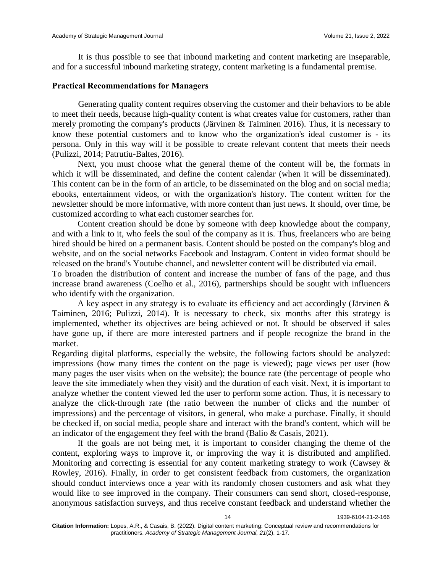It is thus possible to see that inbound marketing and content marketing are inseparable, and for a successful inbound marketing strategy, content marketing is a fundamental premise.

#### **Practical Recommendations for Managers**

Generating quality content requires observing the customer and their behaviors to be able to meet their needs, because high-quality content is what creates value for customers, rather than merely promoting the company's products (Järvinen & Taiminen 2016). Thus, it is necessary to know these potential customers and to know who the organization's ideal customer is - its persona. Only in this way will it be possible to create relevant content that meets their needs (Pulizzi, 2014; Patrutiu-Baltes, 2016).

Next, you must choose what the general theme of the content will be, the formats in which it will be disseminated, and define the content calendar (when it will be disseminated). This content can be in the form of an article, to be disseminated on the blog and on social media; ebooks, entertainment videos, or with the organization's history. The content written for the newsletter should be more informative, with more content than just news. It should, over time, be customized according to what each customer searches for.

Content creation should be done by someone with deep knowledge about the company, and with a link to it, who feels the soul of the company as it is. Thus, freelancers who are being hired should be hired on a permanent basis. Content should be posted on the company's blog and website, and on the social networks Facebook and Instagram. Content in video format should be released on the brand's Youtube channel, and newsletter content will be distributed via email.

To broaden the distribution of content and increase the number of fans of the page, and thus increase brand awareness (Coelho et al., 2016), partnerships should be sought with influencers who identify with the organization.

A key aspect in any strategy is to evaluate its efficiency and act accordingly (Järvinen & Taiminen, 2016; Pulizzi, 2014). It is necessary to check, six months after this strategy is implemented, whether its objectives are being achieved or not. It should be observed if sales have gone up, if there are more interested partners and if people recognize the brand in the market.

Regarding digital platforms, especially the website, the following factors should be analyzed: impressions (how many times the content on the page is viewed); page views per user (how many pages the user visits when on the website); the bounce rate (the percentage of people who leave the site immediately when they visit) and the duration of each visit. Next, it is important to analyze whether the content viewed led the user to perform some action. Thus, it is necessary to analyze the click-through rate (the ratio between the number of clicks and the number of impressions) and the percentage of visitors, in general, who make a purchase. Finally, it should be checked if, on social media, people share and interact with the brand's content, which will be an indicator of the engagement they feel with the brand (Balio  $\&$  Casais, 2021).

If the goals are not being met, it is important to consider changing the theme of the content, exploring ways to improve it, or improving the way it is distributed and amplified. Monitoring and correcting is essential for any content marketing strategy to work (Cawsey & Rowley, 2016). Finally, in order to get consistent feedback from customers, the organization should conduct interviews once a year with its randomly chosen customers and ask what they would like to see improved in the company. Their consumers can send short, closed-response, anonymous satisfaction surveys, and thus receive constant feedback and understand whether the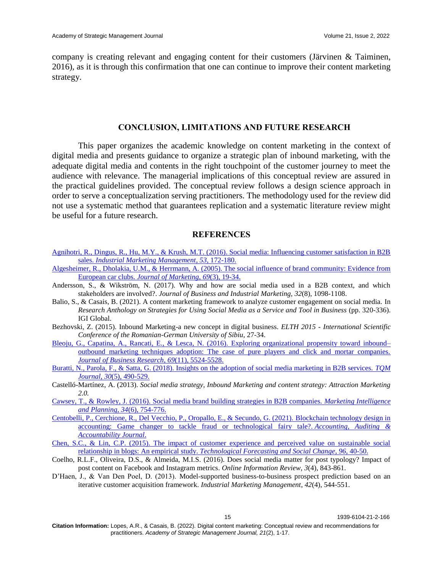company is creating relevant and engaging content for their customers (Järvinen & Taiminen, 2016), as it is through this confirmation that one can continue to improve their content marketing strategy.

### **CONCLUSION, LIMITATIONS AND FUTURE RESEARCH**

This paper organizes the academic knowledge on content marketing in the context of digital media and presents guidance to organize a strategic plan of inbound marketing, with the adequate digital media and contents in the right touchpoint of the customer journey to meet the audience with relevance. The managerial implications of this conceptual review are assured in the practical guidelines provided. The conceptual review follows a design science approach in order to serve a conceptualization serving practitioners. The methodology used for the review did not use a systematic method that guarantees replication and a systematic literature review might be useful for a future research.

#### **REFERENCES**

- Agnihotri, R., Dingus, R., Hu, M.Y., & Krush, [M.T. \(2016\). Social media: Influencing customer satisfaction in B2B](https://doi.org/10.1016/J.INDMARMAN.2015.09.003)  sales. *[Industrial Marketing Management](https://doi.org/10.1016/J.INDMARMAN.2015.09.003)*, *53*, 172-180.
- [Algesheimer, R., Dholakia, U.M., & Herrmann, A. \(2005\). The social influence of brand community: Evidence from](https://doi.org/10.1509%2Fjmkg.69.3.19.66363)  European car clubs. *[Journal of Marketing](https://doi.org/10.1509%2Fjmkg.69.3.19.66363)*, *69*(3), 19-34.
- Andersson, S., & Wikström, N. (2017). Why and how are social media used in a B2B context, and which stakeholders are involved?. *Journal of Business and Industrial Marketing*, *32*(8), 1098-1108.
- Balio, S., & Casais, B. (2021). A content marketing framework to analyze customer engagement on social media. In *Research Anthology on Strategies for Using Social Media as a Service and Tool in Business* (pp. 320-336). IGI Global.
- Bezhovski, Z. (2015). Inbound Marketing-a new concept in digital business. *ELTH 2015 - International Scientific Conference of the Romanian-German University of Sibiu*, 27-34.
- [Bleoju, G., Capatina, A., Rancati, E., & Lesca, N. \(2016\). Exploring organizational propensity toward inbound–](https://ideas.repec.org/a/eee/jbrese/v69y2016i11p5524-5528.html) [outbound marketing techniques adoption: The case of pure players and click and mortar companies.](https://ideas.repec.org/a/eee/jbrese/v69y2016i11p5524-5528.html)  *[Journal of Business Research](https://ideas.repec.org/a/eee/jbrese/v69y2016i11p5524-5528.html)*, *69*(11), 5524-5528.
- [Buratti, N., Parola, F., & Satta, G. \(2018\). Insights on the adoption of social media marketing in B2B services.](https://doi.org/10.1108/TQM-11-2017-0136) *TQM Journal*, *30*[\(5\), 490-529.](https://doi.org/10.1108/TQM-11-2017-0136)
- Castelló-Martínez, A. (2013). *Social media strategy, Inbound Marketing and content strategy: Attraction Marketing 2.0.*
- [Cawsey, T., & Rowley, J. \(2016\). Social media brand building strategies in B2B companies.](https://doi.org/10.1108/MIP-04-2015-0079) *Marketing Intelligence [and Planning](https://doi.org/10.1108/MIP-04-2015-0079)*, *34*(6), 754-776.
- [Centobelli, P., Cerchione, R., Del Vecchio, P., Oropallo, E., & Secundo, G. \(2021\). Blockchain technology design in](https://doi.org/10.1108/AAAJ-10-2020-4994)  [accounting: Game changer to tackle fraud or technological fairy tale?.](https://doi.org/10.1108/AAAJ-10-2020-4994) *Accounting, Auditing & [Accountability Journal](https://doi.org/10.1108/AAAJ-10-2020-4994)*.
- [Chen, S.C., & Lin, C.P. \(2015\). The impact of customer experience and perceived value on sustainable social](https://doi.org/10.1016/J.TECHFORE.2014.11.011)  relationship in blogs: An empirical study. *[Technological Forecasting and Social Change](https://doi.org/10.1016/J.TECHFORE.2014.11.011)*, *96*, 40-50.
- Coelho, R.L.F., Oliveira, D.S., & Almeida, M.I.S. (2016). Does social media matter for post typology? Impact of post content on Facebook and Instagram metrics. *Online Information Review*, *3*(4), 843-861.
- D'Haen, J., & Van Den Poel, D. (2013). Model-supported business-to-business prospect prediction based on an iterative customer acquisition framework. *Industrial Marketing Management*, *42*(4), 544-551.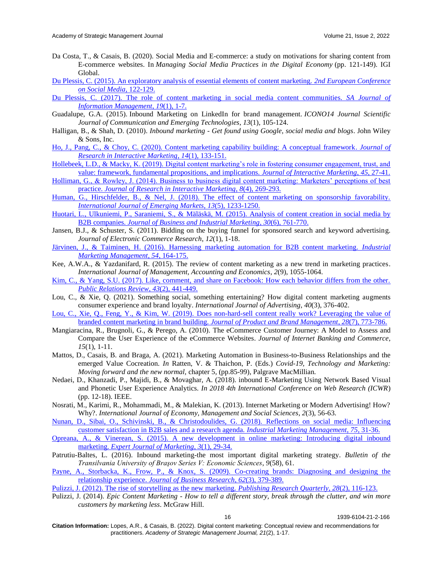- Da Costa, T., & Casais, B. (2020). Social Media and E-commerce: a study on motivations for sharing content from E-commerce websites. In *Managing Social Media Practices in the Digital Economy* (pp. 121-149). IGI Global.
- [Du Plessis, C. \(2015\). An exploratory analysis of essential elements of content marketing.](http://hdl.handle.net/10500/18910) *2nd European Conference [on Social Media](http://hdl.handle.net/10500/18910)*, 122-129.
- [Du Plessis, C. \(2017\). The role of content marketing in social media content communities.](https://doi.org/10.4102/sajim.v19i1.866) *SA Journal of [Information Management](https://doi.org/10.4102/sajim.v19i1.866)*, *19*(1), 1-7.
- Guadalupe, G.A. (2015). Inbound Marketing on LinkedIn for brand management. *ICONO14 Journal Scientific Journal of Communication and Emerging Technologies*, *13*(1), 105-124.
- Halligan, B., & Shah, D. (2010). *Inbound marketing - Get found using Google, social media and blogs*. John Wiley & Sons, Inc.
- [Ho, J., Pang, C., & Choy, C. \(2020\). Content marketing capability building: A conceptual framework.](https://doi.org/10.1108/jrim-06-2018-0082) *Journal of [Research in Interactive Marketing](https://doi.org/10.1108/jrim-06-2018-0082)*, *14*(1), 133-151.
- Hollebeek, L.D., & Macky, K. (2019). Digital content marketing's role in fostering consumer engagement, trust, and [value: framework, fundamental propositions, and implications.](https://doi.org/10.1016/j.intmar.2018.07.003) *Journal of Interactive Marketing*, *45*, 27-41.
- [Holliman, G., & Rowley, J. \(2014\). Business to business digital content marketing: Marketers' perceptions of best](https://doi.org/10.1108/JRIM-02-2014-0013)  practice. *[Journal of Research in Interactive Marketing](https://doi.org/10.1108/JRIM-02-2014-0013)*, *8*(4), 269-293.
- [Human, G., Hirschfelder, B., & Nel, J. \(2018\). The effect of content marketing on sponsorship favorability.](https://doi.org/10.1108/IJoEM-06-2017-0215)  *[International Journal of Emerging Markets](https://doi.org/10.1108/IJoEM-06-2017-0215)*, *13*(5), 1233-1250.
- Huotari, L., Ulkuniemi, P., Saraniemi, S., & [Mäläskä, M. \(2015\). Analysis of content creation in social media by](https://doi.org/10.1108/JBIM-05-2013-0118)  B2B companies. *[Journal of Business and Industrial Marketing](https://doi.org/10.1108/JBIM-05-2013-0118)*, *30*(6), 761-770.
- Jansen, B.J., & Schuster, S. (2011). Bidding on the buying funnel for sponsored search and keyword advertising. *Journal of Electronic Commerce Research*, *12*(1), 1-18.
- [Järvinen, J., & Taiminen, H. \(2016\). Harnessing marketing automation for B2B content marketing.](https://doi.org/10.1016/J.INDMARMAN.2015.07.002) *Industrial [Marketing Management](https://doi.org/10.1016/J.INDMARMAN.2015.07.002)*, *54*, 164-175.
- Kee, A.W.A., & Yazdanifard, R. (2015). The review of content marketing as a new trend in marketing practices. *International Journal of Management, Accounting and Economics*, *2*(9), 1055-1064.
- [Kim, C., & Yang, S.U. \(2017\). Like, comment, and share on Facebook: How each behavior differs from the other.](https://doi.org/10.1016/j.pubrev.2017.02.006)  *[Public Relations Review](https://doi.org/10.1016/j.pubrev.2017.02.006)*, *43*(2), 441-449.
- Lou, C., & Xie, Q. (2021). Something social, something entertaining? How digital content marketing augments consumer experience and brand loyalty. *International Journal of Advertising*, *40*(3), 376-402.
- [Lou, C., Xie, Q., Feng, Y., & Kim, W. \(2019\). Does non-hard-sell content really work? Leveraging the value of](https://doi.org/10.1108/JPBM-07-2018-1948)  [branded content marketing in brand building.](https://doi.org/10.1108/JPBM-07-2018-1948) *Journal of Product and Brand Management*, *28*(7), 773-786.
- Mangiaracina, R., Brugnoli, G., & Perego, A. (2010). The eCommerce Customer Journey: A Model to Assess and Compare the User Experience of the eCommerce Websites. *Journal of Internet Banking and Commerce*, *15*(1), 1-11.
- Mattos, D., Casais, B. and Braga, A. (2021). Marketing Automation in Business-to-Business Relationships and the emerged Value Cocreation. *In* Ratten, V. & Thaichon, P. (Eds.) *Covid-19, Technology and Marketing: Moving forward and the new normal,* chapter 5*,* (pp*.*85-99)*,* Palgrave MacMillian*.*
- Nedaei, D., Khanzadi, P., Majidi, B., & Movaghar, A. (2018). inbound E-Marketing Using Network Based Visual and Phonetic User Experience Analytics. *In 2018 4th International Conference on Web Research (ICWR*) (pp. 12-18). IEEE.
- Nosrati, M., Karimi, R., Mohammadi, M., & Malekian, K. (2013). Internet Marketing or Modern Advertising! How? Why?. *International Journal of Economy, Management and Social Sciences*, *2*(3), 56-63.
- [Nunan, D., Sibai, O., Schivinski, B., & Christodoulides, G. \(2018\).](https://doi.org/10.1016/j.indmarman.2018.03.009) Reflections on social media: Influencing [customer satisfaction in B2B sales and a research agenda.](https://doi.org/10.1016/j.indmarman.2018.03.009) *Industrial Marketing Management*, *75,* 31-36.
- [Opreana, A., & Vinerean, S. \(2015\). A new development in online marketing: Introducing digital inbound](https://econpapers.repec.org/scripts/redir.pf?u=http%3A%2F%2Fmarketing.expertjournals.com%2F23446773-305%2F;h=repec:exp:mkting:v:3:y:2015:i:1:p:29-34)  marketing. *[Expert Journal of Marketing](https://econpapers.repec.org/scripts/redir.pf?u=http%3A%2F%2Fmarketing.expertjournals.com%2F23446773-305%2F;h=repec:exp:mkting:v:3:y:2015:i:1:p:29-34)*, *3*(1), 29-34.
- Patrutiu-Baltes, L. (2016). Inbound marketing-the most important digital marketing strategy. *Bulletin of the Transilvania University of Braşov Series V: Economic Sciences*, *9*(58), 61.
- [Payne, A., Storbacka, K., Frow, P., & Knox, S. \(2009\). Co-creating brands: Diagnosing and designing the](https://doi.org/10.1016/j.jbusres.2008.05.013)  relationship experience. *[Journal of Business Research](https://doi.org/10.1016/j.jbusres.2008.05.013)*, *62*(3), 379-389.
- [Pulizzi, J. \(2012\). The rise of storytelling as the new marketing.](https://doi.org/10.1007/S12109-012-9264-5) *Publishing Research Quarterly*, *28*(2), 116-123.
- Pulizzi, J. (2014). *Epic Content Marketing - How to tell a different story, break through the clutter, and win more customers by marketing less*. McGraw Hill.

16 1939-6104-21-2-166

**Citation Information:** Lopes, A.R., & Casais, B. (2022). Digital content marketing: Conceptual review and recommendations for practitioners. *Academy of Strategic Management Journal, 21*(2), 1-17.